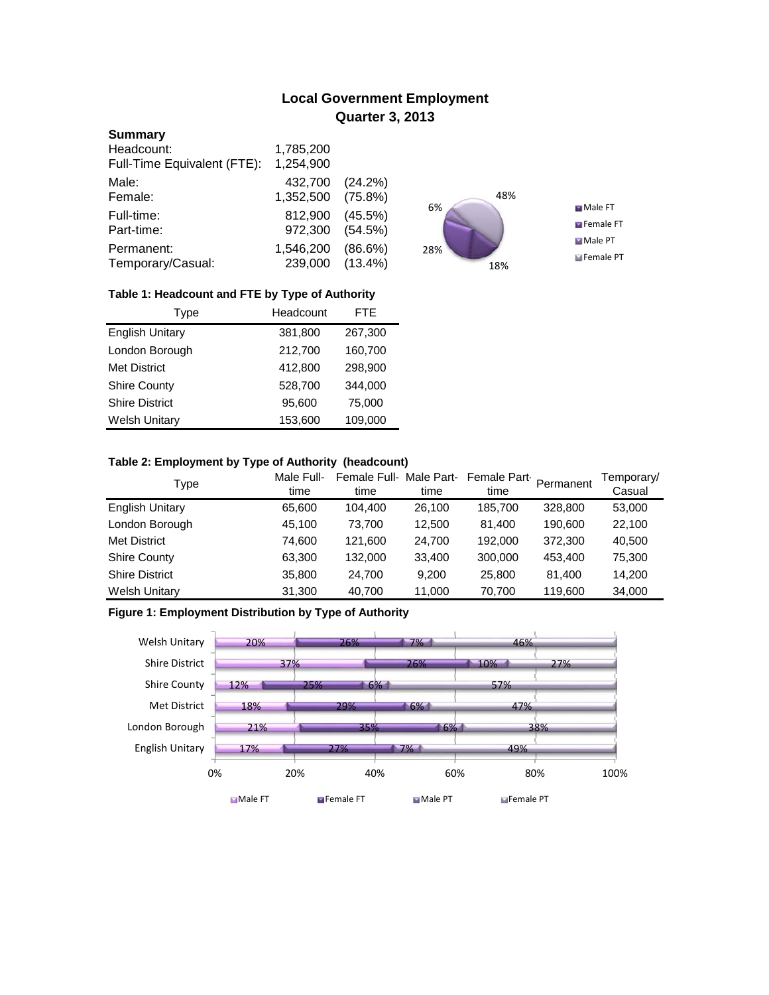# **Local Government Employment Quarter 3, 2013**

## **Summary**

| Headcount:                  | 1,785,200 |            |
|-----------------------------|-----------|------------|
| Full-Time Equivalent (FTE): | 1,254,900 |            |
| Male:                       | 432,700   | (24.2%)    |
| Female:                     | 1,352,500 | $(75.8\%)$ |
| Full-time:                  | 812,900   | $(45.5\%)$ |
| Part-time:                  | 972,300   | (54.5%)    |
| Permanent:                  | 1,546,200 | $(86.6\%)$ |
| Temporary/Casual:           | 239,000   | $(13.4\%)$ |



## **Table 1: Headcount and FTE by Type of Authority**

| Type                   | Headcount | FTE.    |  |
|------------------------|-----------|---------|--|
| <b>English Unitary</b> | 381,800   | 267,300 |  |
| London Borough         | 212,700   | 160,700 |  |
| Met District           | 412,800   | 298,900 |  |
| <b>Shire County</b>    | 528,700   | 344,000 |  |
| <b>Shire District</b>  | 95,600    | 75,000  |  |
| <b>Welsh Unitary</b>   | 153,600   | 109,000 |  |

## **Table 2: Employment by Type of Authority (headcount)**

| Type                   | Male Full-<br>time | Female Full-Male Part-<br>time | time   | Female Part<br>time | Permanent | Temporary/<br>Casual |
|------------------------|--------------------|--------------------------------|--------|---------------------|-----------|----------------------|
| <b>English Unitary</b> | 65,600             | 104,400                        | 26,100 | 185,700             | 328,800   | 53,000               |
| London Borough         | 45,100             | 73.700                         | 12,500 | 81.400              | 190,600   | 22,100               |
| <b>Met District</b>    | 74,600             | 121.600                        | 24,700 | 192.000             | 372.300   | 40,500               |
| <b>Shire County</b>    | 63,300             | 132,000                        | 33,400 | 300,000             | 453.400   | 75,300               |
| <b>Shire District</b>  | 35,800             | 24.700                         | 9.200  | 25,800              | 81.400    | 14,200               |
| <b>Welsh Unitary</b>   | 31,300             | 40,700                         | 11,000 | 70,700              | 119,600   | 34,000               |

## **Figure 1: Employment Distribution by Type of Authority**